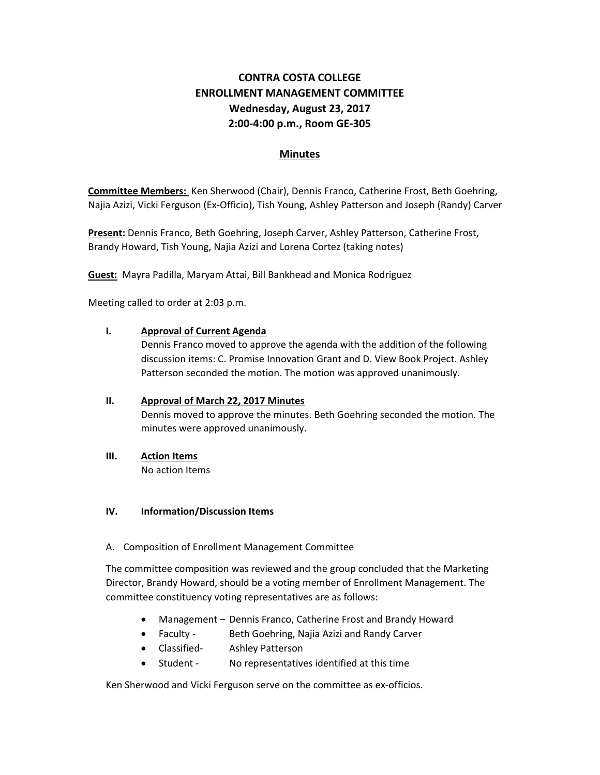# **CONTRA COSTA COLLEGE ENROLLMENT MANAGEMENT COMMITTEE Wednesday, August 23, 2017 2:00‐4:00 p.m., Room GE‐305**

# **Minutes**

**Committee Members:** Ken Sherwood (Chair), Dennis Franco, Catherine Frost, Beth Goehring, Najia Azizi, Vicki Ferguson (Ex‐Officio), Tish Young, Ashley Patterson and Joseph (Randy) Carver

**Present:** Dennis Franco, Beth Goehring, Joseph Carver, Ashley Patterson, Catherine Frost, Brandy Howard, Tish Young, Najia Azizi and Lorena Cortez (taking notes)

**Guest:** Mayra Padilla, Maryam Attai, Bill Bankhead and Monica Rodriguez

Meeting called to order at 2:03 p.m.

#### **I. Approval of Current Agenda**

Dennis Franco moved to approve the agenda with the addition of the following discussion items: C. Promise Innovation Grant and D. View Book Project. Ashley Patterson seconded the motion. The motion was approved unanimously.

## **II. Approval of March 22, 2017 Minutes** Dennis moved to approve the minutes. Beth Goehring seconded the motion. The minutes were approved unanimously.

**III. Action Items**

No action Items

#### **IV. Information/Discussion Items**

A. Composition of Enrollment Management Committee

The committee composition was reviewed and the group concluded that the Marketing Director, Brandy Howard, should be a voting member of Enrollment Management. The committee constituency voting representatives are as follows:

- Management Dennis Franco, Catherine Frost and Brandy Howard
- Faculty Beth Goehring, Najia Azizi and Randy Carver
- Classified- Ashley Patterson
- Student No representatives identified at this time

Ken Sherwood and Vicki Ferguson serve on the committee as ex-officios.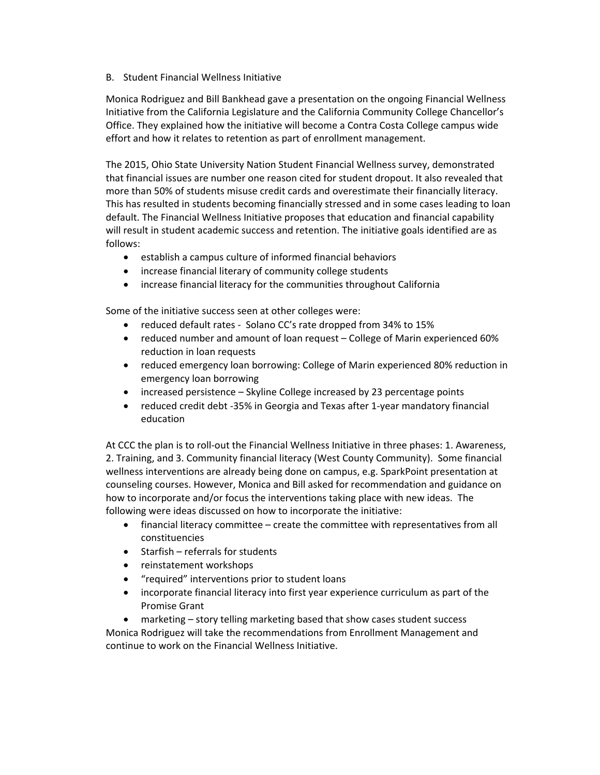B. Student Financial Wellness Initiative

Monica Rodriguez and Bill Bankhead gave a presentation on the ongoing Financial Wellness Initiative from the California Legislature and the California Community College Chancellor's Office. They explained how the initiative will become a Contra Costa College campus wide effort and how it relates to retention as part of enrollment management.

The 2015, Ohio State University Nation Student Financial Wellness survey, demonstrated that financial issues are number one reason cited for student dropout. It also revealed that more than 50% of students misuse credit cards and overestimate their financially literacy. This has resulted in students becoming financially stressed and in some cases leading to loan default. The Financial Wellness Initiative proposes that education and financial capability will result in student academic success and retention. The initiative goals identified are as follows:

- establish a campus culture of informed financial behaviors
- increase financial literary of community college students
- increase financial literacy for the communities throughout California

Some of the initiative success seen at other colleges were:

- reduced default rates ‐ Solano CC's rate dropped from 34% to 15%
- reduced number and amount of loan request College of Marin experienced 60% reduction in loan requests
- reduced emergency loan borrowing: College of Marin experienced 80% reduction in emergency loan borrowing
- increased persistence Skyline College increased by 23 percentage points
- reduced credit debt ‐35% in Georgia and Texas after 1‐year mandatory financial education

At CCC the plan is to roll‐out the Financial Wellness Initiative in three phases: 1. Awareness, 2. Training, and 3. Community financial literacy (West County Community). Some financial wellness interventions are already being done on campus, e.g. SparkPoint presentation at counseling courses. However, Monica and Bill asked for recommendation and guidance on how to incorporate and/or focus the interventions taking place with new ideas. The following were ideas discussed on how to incorporate the initiative:

- financial literacy committee create the committee with representatives from all constituencies
- $\bullet$  Starfish referrals for students
- reinstatement workshops
- "required" interventions prior to student loans
- incorporate financial literacy into first year experience curriculum as part of the Promise Grant

 marketing – story telling marketing based that show cases student success Monica Rodriguez will take the recommendations from Enrollment Management and continue to work on the Financial Wellness Initiative.